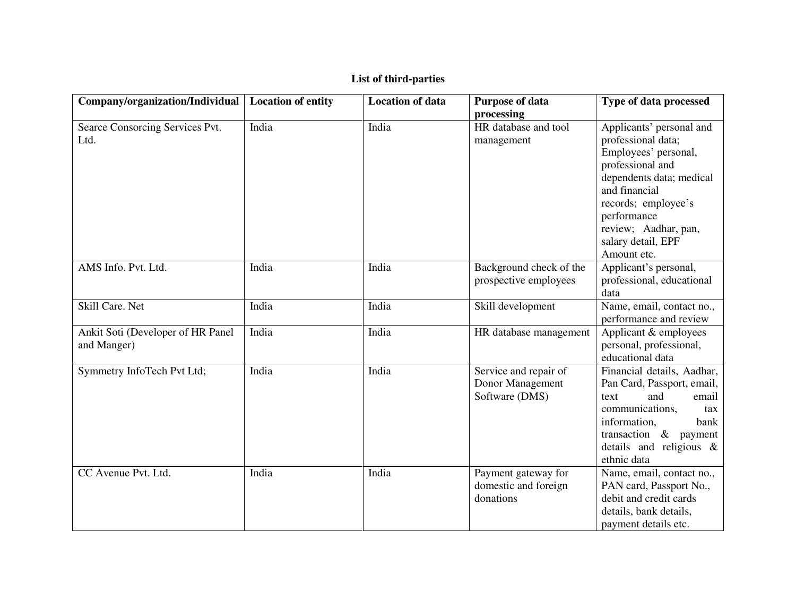|  | List of third-parties |  |
|--|-----------------------|--|
|--|-----------------------|--|

| Company/organization/Individual                  | <b>Location of entity</b> | <b>Location of data</b> | <b>Purpose of data</b>                                      | Type of data processed                                                                                                                                                                                                                     |
|--------------------------------------------------|---------------------------|-------------------------|-------------------------------------------------------------|--------------------------------------------------------------------------------------------------------------------------------------------------------------------------------------------------------------------------------------------|
|                                                  |                           |                         | processing                                                  |                                                                                                                                                                                                                                            |
| Searce Consorcing Services Pvt.<br>Ltd.          | India                     | India                   | HR database and tool<br>management                          | Applicants' personal and<br>professional data;<br>Employees' personal,<br>professional and<br>dependents data; medical<br>and financial<br>records; employee's<br>performance<br>review; Aadhar, pan,<br>salary detail, EPF<br>Amount etc. |
| AMS Info. Pvt. Ltd.                              | India                     | India                   | Background check of the<br>prospective employees            | Applicant's personal,<br>professional, educational<br>data                                                                                                                                                                                 |
| Skill Care. Net                                  | India                     | India                   | Skill development                                           | Name, email, contact no.,<br>performance and review                                                                                                                                                                                        |
| Ankit Soti (Developer of HR Panel<br>and Manger) | India                     | India                   | HR database management                                      | Applicant & employees<br>personal, professional,<br>educational data                                                                                                                                                                       |
| Symmetry InfoTech Pvt Ltd;                       | India                     | India                   | Service and repair of<br>Donor Management<br>Software (DMS) | Financial details, Aadhar,<br>Pan Card, Passport, email,<br>and<br>email<br>text<br>communications,<br>tax<br>information,<br>bank<br>transaction $\&$ payment<br>details and religious &<br>ethnic data                                   |
| CC Avenue Pvt. Ltd.                              | India                     | India                   | Payment gateway for<br>domestic and foreign<br>donations    | Name, email, contact no.,<br>PAN card, Passport No.,<br>debit and credit cards<br>details, bank details,<br>payment details etc.                                                                                                           |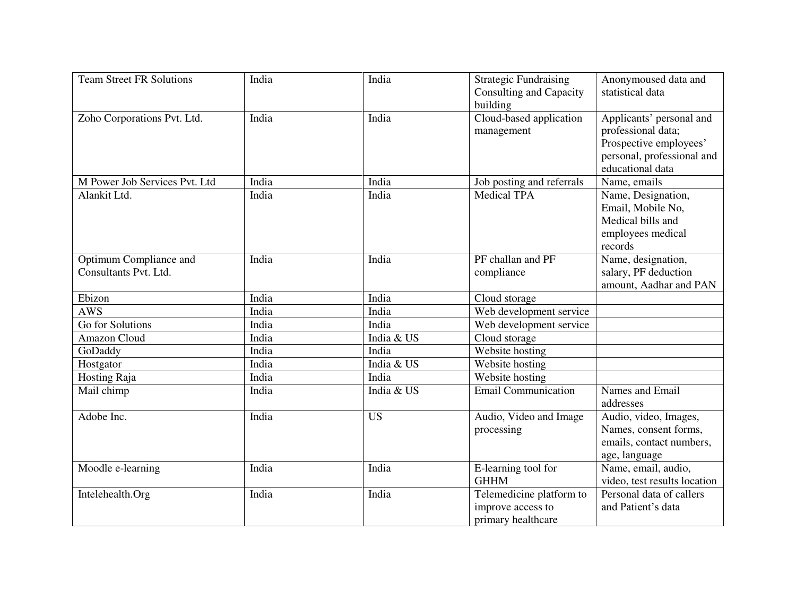| <b>Team Street FR Solutions</b>                 | India | India      | <b>Strategic Fundraising</b><br><b>Consulting and Capacity</b><br>building | Anonymoused data and<br>statistical data                                                                                   |
|-------------------------------------------------|-------|------------|----------------------------------------------------------------------------|----------------------------------------------------------------------------------------------------------------------------|
| Zoho Corporations Pvt. Ltd.                     | India | India      | Cloud-based application<br>management                                      | Applicants' personal and<br>professional data;<br>Prospective employees'<br>personal, professional and<br>educational data |
| M Power Job Services Pvt. Ltd                   | India | India      | Job posting and referrals                                                  | Name, emails                                                                                                               |
| Alankit Ltd.                                    | India | India      | <b>Medical TPA</b>                                                         | Name, Designation,<br>Email, Mobile No,<br>Medical bills and<br>employees medical<br>records                               |
| Optimum Compliance and<br>Consultants Pvt. Ltd. | India | India      | PF challan and PF<br>compliance                                            | Name, designation,<br>salary, PF deduction<br>amount, Aadhar and PAN                                                       |
| Ebizon                                          | India | India      | Cloud storage                                                              |                                                                                                                            |
| <b>AWS</b>                                      | India | India      | Web development service                                                    |                                                                                                                            |
| <b>Go for Solutions</b>                         | India | India      | Web development service                                                    |                                                                                                                            |
| Amazon Cloud                                    | India | India & US | Cloud storage                                                              |                                                                                                                            |
| GoDaddy                                         | India | India      | Website hosting                                                            |                                                                                                                            |
| Hostgator                                       | India | India & US | Website hosting                                                            |                                                                                                                            |
| <b>Hosting Raja</b>                             | India | India      | Website hosting                                                            |                                                                                                                            |
| Mail chimp                                      | India | India & US | <b>Email Communication</b>                                                 | Names and Email<br>addresses                                                                                               |
| Adobe Inc.                                      | India | <b>US</b>  | Audio, Video and Image<br>processing                                       | Audio, video, Images,<br>Names, consent forms,<br>emails, contact numbers,<br>age, language                                |
| Moodle e-learning                               | India | India      | E-learning tool for<br><b>GHHM</b>                                         | Name, email, audio,<br>video, test results location                                                                        |
| Intelehealth.Org                                | India | India      | Telemedicine platform to<br>improve access to<br>primary healthcare        | Personal data of callers<br>and Patient's data                                                                             |